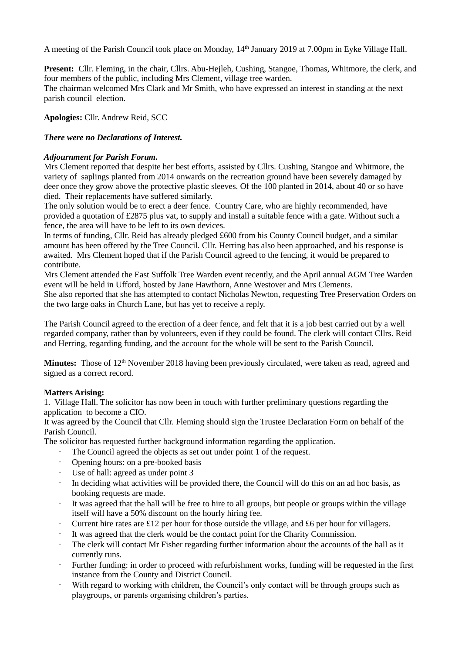A meeting of the Parish Council took place on Monday, 14<sup>th</sup> January 2019 at 7.00pm in Eyke Village Hall.

**Present:** Cllr. Fleming, in the chair, Cllrs. Abu-Hejleh, Cushing, Stangoe, Thomas, Whitmore, the clerk, and four members of the public, including Mrs Clement, village tree warden. The chairman welcomed Mrs Clark and Mr Smith, who have expressed an interest in standing at the next parish council election.

**Apologies:** Cllr. Andrew Reid, SCC

### *There were no Declarations of Interest.*

### *Adjournment for Parish Forum.*

Mrs Clement reported that despite her best efforts, assisted by Cllrs. Cushing, Stangoe and Whitmore, the variety of saplings planted from 2014 onwards on the recreation ground have been severely damaged by deer once they grow above the protective plastic sleeves. Of the 100 planted in 2014, about 40 or so have died. Their replacements have suffered similarly.

The only solution would be to erect a deer fence. Country Care, who are highly recommended, have provided a quotation of £2875 plus vat, to supply and install a suitable fence with a gate. Without such a fence, the area will have to be left to its own devices.

In terms of funding, Cllr. Reid has already pledged £600 from his County Council budget, and a similar amount has been offered by the Tree Council. Cllr. Herring has also been approached, and his response is awaited. Mrs Clement hoped that if the Parish Council agreed to the fencing, it would be prepared to contribute.

Mrs Clement attended the East Suffolk Tree Warden event recently, and the April annual AGM Tree Warden event will be held in Ufford, hosted by Jane Hawthorn, Anne Westover and Mrs Clements.

She also reported that she has attempted to contact Nicholas Newton, requesting Tree Preservation Orders on the two large oaks in Church Lane, but has yet to receive a reply.

The Parish Council agreed to the erection of a deer fence, and felt that it is a job best carried out by a well regarded company, rather than by volunteers, even if they could be found. The clerk will contact Cllrs. Reid and Herring, regarding funding, and the account for the whole will be sent to the Parish Council.

**Minutes:** Those of 12<sup>th</sup> November 2018 having been previously circulated, were taken as read, agreed and signed as a correct record.

#### **Matters Arising:**

1. Village Hall. The solicitor has now been in touch with further preliminary questions regarding the application to become a CIO.

It was agreed by the Council that Cllr. Fleming should sign the Trustee Declaration Form on behalf of the Parish Council.

The solicitor has requested further background information regarding the application.

- The Council agreed the objects as set out under point 1 of the request.
- Opening hours: on a pre-booked basis
- Use of hall: agreed as under point 3
- In deciding what activities will be provided there, the Council will do this on an ad hoc basis, as booking requests are made.
- It was agreed that the hall will be free to hire to all groups, but people or groups within the village itself will have a 50% discount on the hourly hiring fee.
- Current hire rates are  $\pounds 12$  per hour for those outside the village, and  $\pounds 6$  per hour for villagers.
- It was agreed that the clerk would be the contact point for the Charity Commission.
- The clerk will contact Mr Fisher regarding further information about the accounts of the hall as it currently runs.
- Further funding: in order to proceed with refurbishment works, funding will be requested in the first instance from the County and District Council.
- With regard to working with children, the Council's only contact will be through groups such as playgroups, or parents organising children's parties.